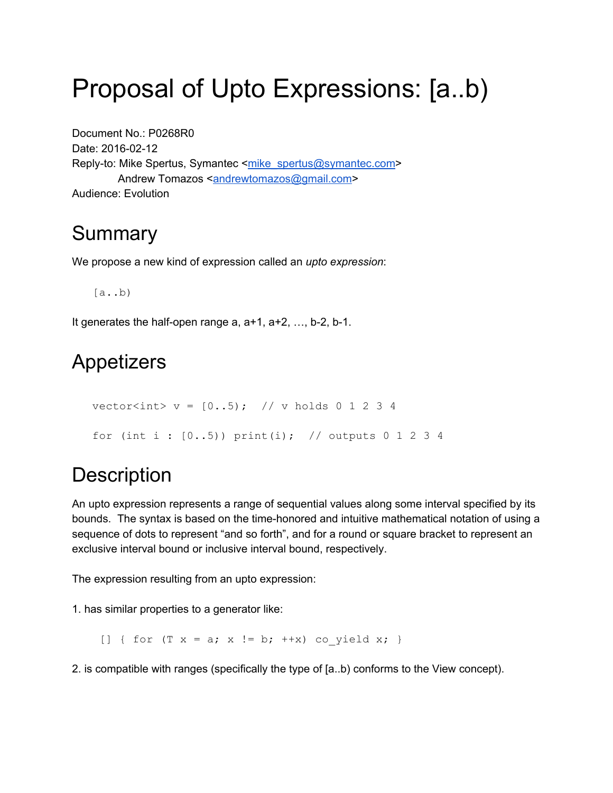# Proposal of Upto Expressions: [a..b)

Document No.: P0268R0 Date: 2016-02-12 Reply-to: Mike Spertus, Symantec <[mike\\_spertus@symantec.com](mailto:mike_spertus@symantec.com)> Andrew Tomazos <**andrewtomazos@gmail.com>** Audience: Evolution

## Summary

We propose a new kind of expression called an *upto expression*:

 $[a..b)$ 

It generates the half-open range  $a, a+1, a+2, \ldots, b-2, b-1$ .

## Appetizers

```
vector<int> v = [0..5); // v holds 0 1 2 3 4
for (int i : [0..5)) print(i); // outputs 0 1 2 3 4
```
## **Description**

An upto expression represents a range of sequential values along some interval specified by its bounds. The syntax is based on the time-honored and intuitive mathematical notation of using a sequence of dots to represent "and so forth", and for a round or square bracket to represent an exclusive interval bound or inclusive interval bound, respectively.

The expression resulting from an upto expression:

1. has similar properties to a generator like:

[] { for  $(T \times = a; x := b; ++x)$  co yield x; }

2. is compatible with ranges (specifically the type of [a..b) conforms to the View concept).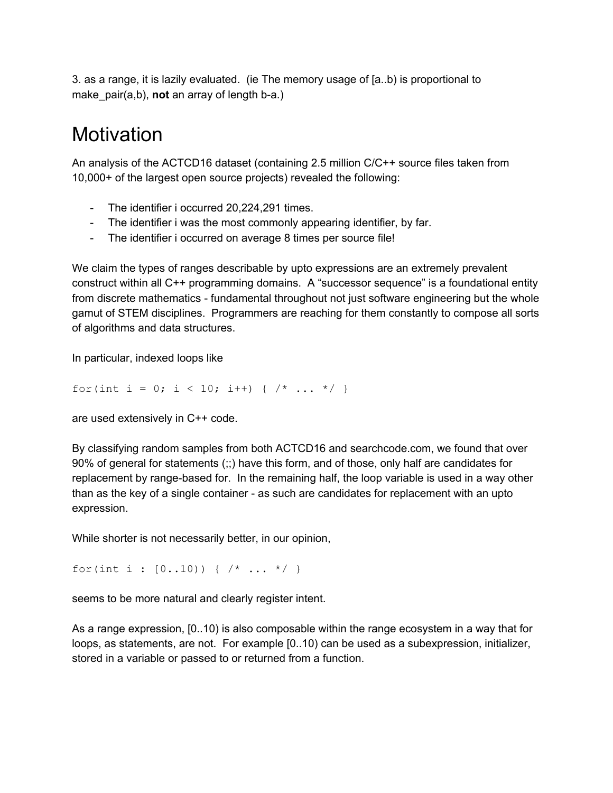3. as a range, it is lazily evaluated. (ie The memory usage of [a..b) is proportional to make  $pair(a,b)$ , **not** an array of length b-a.)

## **Motivation**

An analysis of the ACTCD16 dataset (containing 2.5 million C/C++ source files taken from 10,000+ of the largest open source projects) revealed the following:

- The identifier i occurred 20,224,291 times.
- The identifier i was the most commonly appearing identifier, by far.
- The identifier i occurred on average 8 times per source file!

We claim the types of ranges describable by upto expressions are an extremely prevalent construct within all C++ programming domains. A "successor sequence" is a foundational entity from discrete mathematics - fundamental throughout not just software engineering but the whole gamut of STEM disciplines. Programmers are reaching for them constantly to compose all sorts of algorithms and data structures.

In particular, indexed loops like

for(int i = 0; i < 10; i++) {  $/*$  ...  $*/$  }

are used extensively in C++ code.

By classifying random samples from both ACTCD16 and searchcode.com, we found that over 90% of general for statements (;;) have this form, and of those, only half are candidates for replacement by range-based for. In the remaining half, the loop variable is used in a way other than as the key of a single container - as such are candidates for replacement with an upto expression.

While shorter is not necessarily better, in our opinion,

for(int i :  $[0..10)$ ) {  $/* ... * /$  }

seems to be more natural and clearly register intent.

As a range expression, [0..10) is also composable within the range ecosystem in a way that for loops, as statements, are not. For example [0..10) can be used as a subexpression, initializer, stored in a variable or passed to or returned from a function.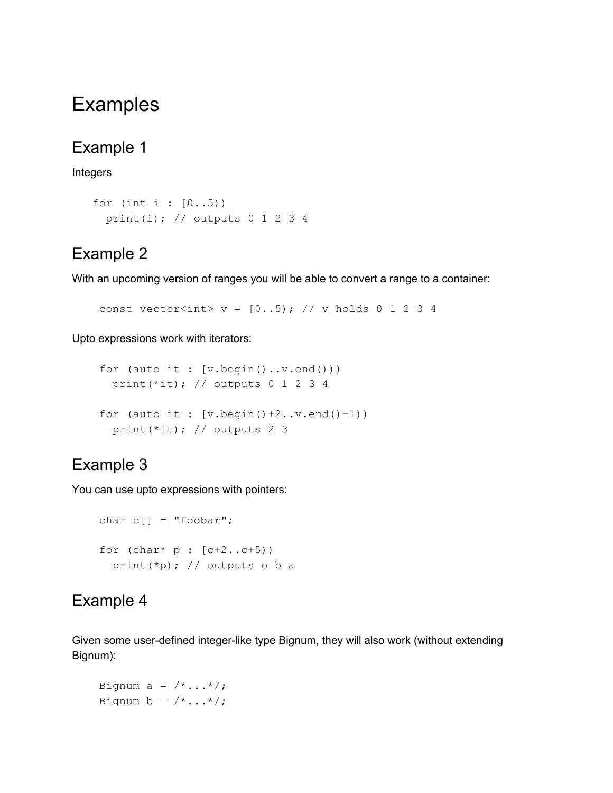## Examples

#### Example 1

#### Integers

```
for (int i : [0..5))
 print(i); // outputs 0 1 2 3 4
```
### Example 2

With an upcoming version of ranges you will be able to convert a range to a container:

const vector<int> v =  $[0..5)$ ; // v holds 0 1 2 3 4

Upto expressions work with iterators:

```
for (auto it : [v.begin()..v.end()))
  print(*it); // outputs 0 1 2 3 4
for (auto it: [v.\text{begin}() + 2..v.\text{end}() - 1))
  print(*it); // outputs 2 3
```
### Example 3

You can use upto expressions with pointers:

```
char c[] = "foobar";for (char * p : [c+2..c+5))print(*p); // outputs o b a
```
### Example 4

Given some user-defined integer-like type Bignum, they will also work (without extending Bignum):

Bignum  $a = \frac{\times}{\cdot} \cdot \cdot \cdot \cdot /$ ; Bignum b =  $/*...*/;$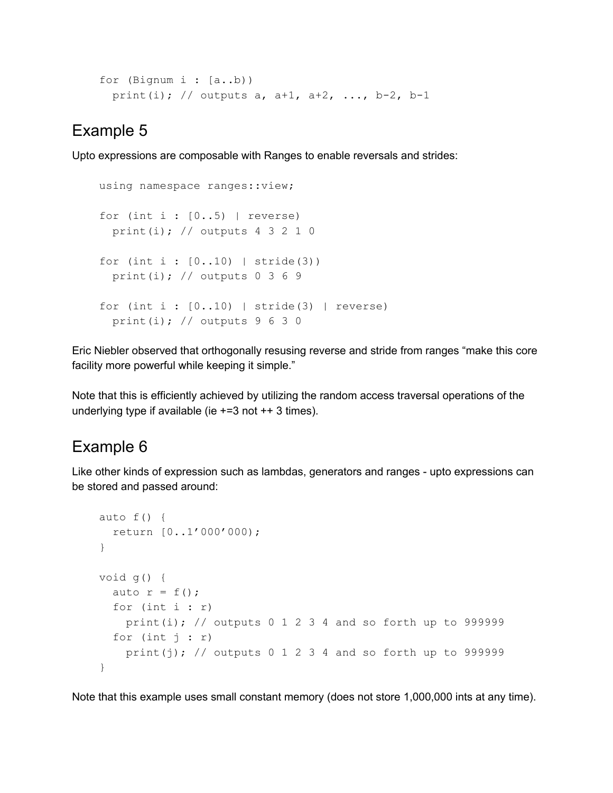```
for (Bignum i : [a..b))
  print(i); // outputs a, a+1, a+2, ..., b-2, b-1
```
#### Example 5

Upto expressions are composable with Ranges to enable reversals and strides:

```
using namespace ranges::view;
for (int i : [0..5) | reverse)
 print(i); // outputs 4 3 2 1 0
for (int i : [0..10) | stride(3))
  print(i); // outputs 0 3 6 9
for (int i : [0..10) | stride(3) | reverse)
  print(i); // outputs 9 6 3 0
```
Eric Niebler observed that orthogonally resusing reverse and stride from ranges "make this core facility more powerful while keeping it simple."

Note that this is efficiently achieved by utilizing the random access traversal operations of the underlying type if available (ie  $+=3$  not  $++3$  times).

## Example 6

Like other kinds of expression such as lambdas, generators and ranges - upto expressions can be stored and passed around:

```
auto f() {
  return [0..1'000'000);
}
void g() {
  auto r = f();
  for (int i : r)print(i); // outputs 0 1 2 3 4 and so forth up to 999999
  for (int j : r)
    print(j); \frac{1}{2} outputs 0 1 2 3 4 and so forth up to 999999
}
```
Note that this example uses small constant memory (does not store 1,000,000 ints at any time).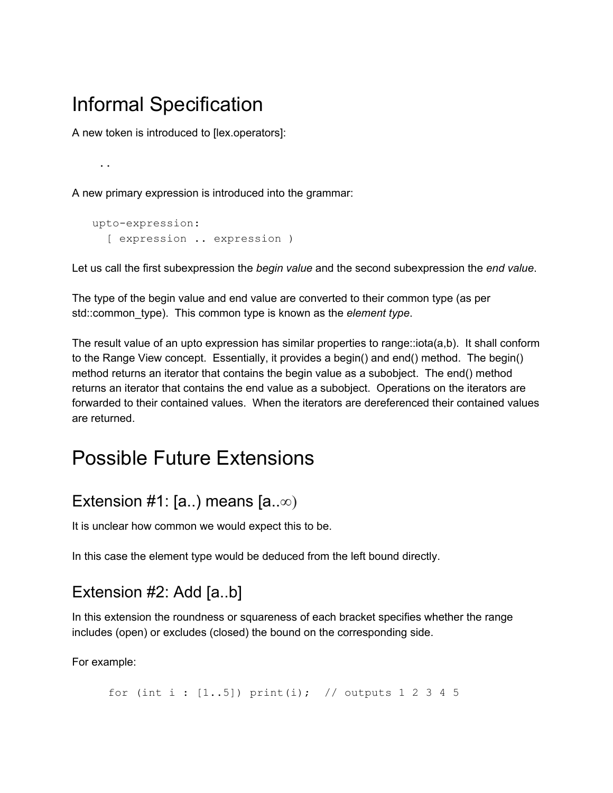## Informal Specification

A new token is introduced to [lex.operators]:

**..**

A new primary expression is introduced into the grammar:

```
upto-expression:
  [ expression .. expression )
```
Let us call the first subexpression the *begin value* and the second subexpression the *end value*.

The type of the begin value and end value are converted to their common type (as per std::common\_type). This common type is known as the *element type*.

The result value of an upto expression has similar properties to range::iota(a,b). It shall conform to the Range View concept. Essentially, it provides a begin() and end() method. The begin() method returns an iterator that contains the begin value as a subobject. The end() method returns an iterator that contains the end value as a subobject. Operations on the iterators are forwarded to their contained values. When the iterators are dereferenced their contained values are returned.

## Possible Future Extensions

### Extension #1: [a..) means  $[a..\infty)$

It is unclear how common we would expect this to be.

In this case the element type would be deduced from the left bound directly.

### Extension #2: Add [a..b]

In this extension the roundness or squareness of each bracket specifies whether the range includes (open) or excludes (closed) the bound on the corresponding side.

For example:

for (int i :  $[1..5]$ ) print(i); // outputs 1 2 3 4 5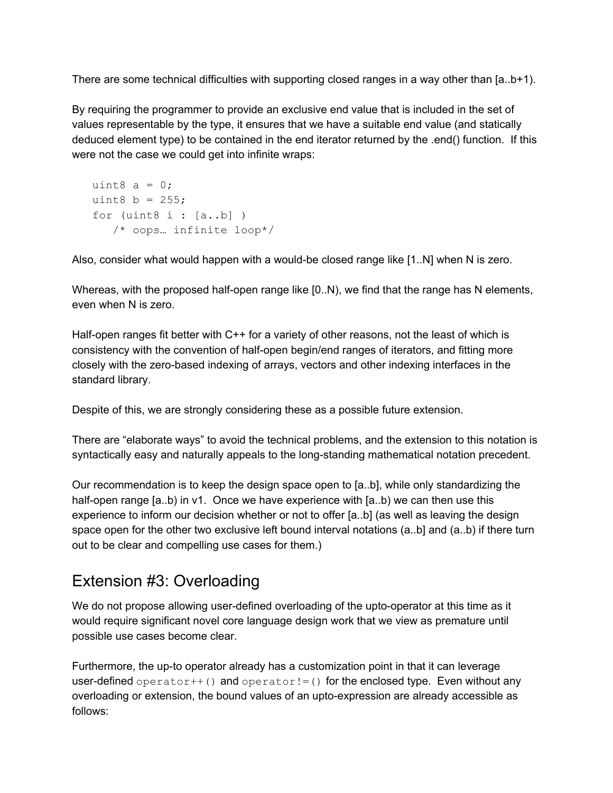There are some technical difficulties with supporting closed ranges in a way other than [a..b+1).

By requiring the programmer to provide an exclusive end value that is included in the set of values representable by the type, it ensures that we have a suitable end value (and statically deduced element type) to be contained in the end iterator returned by the .end() function. If this were not the case we could get into infinite wraps:

```
uint8 a = 0;
uint8 b = 255;
for (uint8 i : [a..b])
   /* oops… infinite loop*/
```
Also, consider what would happen with a would-be closed range like  $[1..N]$  when N is zero.

Whereas, with the proposed half-open range like  $[0..N)$ , we find that the range has N elements, even when N is zero.

Half-open ranges fit better with  $C++$  for a variety of other reasons, not the least of which is consistency with the convention of half-open begin/end ranges of iterators, and fitting more closely with the zero-based indexing of arrays, vectors and other indexing interfaces in the standard library.

Despite of this, we are strongly considering these as a possible future extension.

There are "elaborate ways" to avoid the technical problems, and the extension to this notation is syntactically easy and naturally appeals to the long-standing mathematical notation precedent.

Our recommendation is to keep the design space open to [a..b], while only standardizing the half-open range  $[a..b)$  in v1. Once we have experience with  $[a..b)$  we can then use this experience to inform our decision whether or not to offer [a..b] (as well as leaving the design space open for the other two exclusive left bound interval notations (a..b] and (a..b) if there turn out to be clear and compelling use cases for them.)

## Extension #3: Overloading

We do not propose allowing user-defined overloading of the upto-operator at this time as it would require significant novel core language design work that we view as premature until possible use cases become clear.

Furthermore, the up-to operator already has a customization point in that it can leverage user-defined operator++() and operator!=() for the enclosed type. Even without any overloading or extension, the bound values of an upto-expression are already accessible as follows: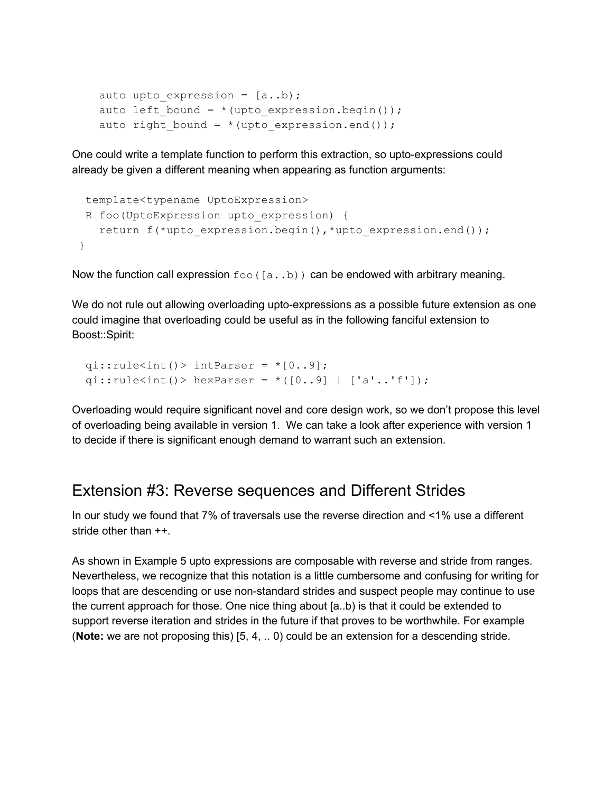```
auto upto expression = [a..b);auto left bound = * (upto expression.begin());
auto right bound = * (upto_expression.end());
```
One could write a template function to perform this extraction, so upto-expressions could already be given a different meaning when appearing as function arguments:

```
template<typename UptoExpression>
R foo(UptoExpression upto_expression) {
  return f(*upto expression.begin(),*upto expression.end());
}
```
Now the function call expression  $f \circ \circ (a..b)$  can be endowed with arbitrary meaning.

We do not rule out allowing overloading upto-expressions as a possible future extension as one could imagine that overloading could be useful as in the following fanciful extension to Boost::Spirit:

```
qi::rule<int() > intParser = *(0..9);
qi::rule<int() hexParser = *([0..9] | ['a'..'f']);
```
Overloading would require significant novel and core design work, so we don't propose this level of overloading being available in version 1. We can take a look after experience with version 1 to decide if there is significant enough demand to warrant such an extension.

#### Extension #3: Reverse sequences and Different Strides

In our study we found that 7% of traversals use the reverse direction and <1% use a different stride other than ++.

As shown in Example 5 upto expressions are composable with reverse and stride from ranges. Nevertheless, we recognize that this notation is a little cumbersome and confusing for writing for loops that are descending or use non-standard strides and suspect people may continue to use the current approach for those. One nice thing about [a..b) is that it could be extended to support reverse iteration and strides in the future if that proves to be worthwhile. For example (**Note:** we are not proposing this) [5, 4, .. 0) could be an extension for a descending stride.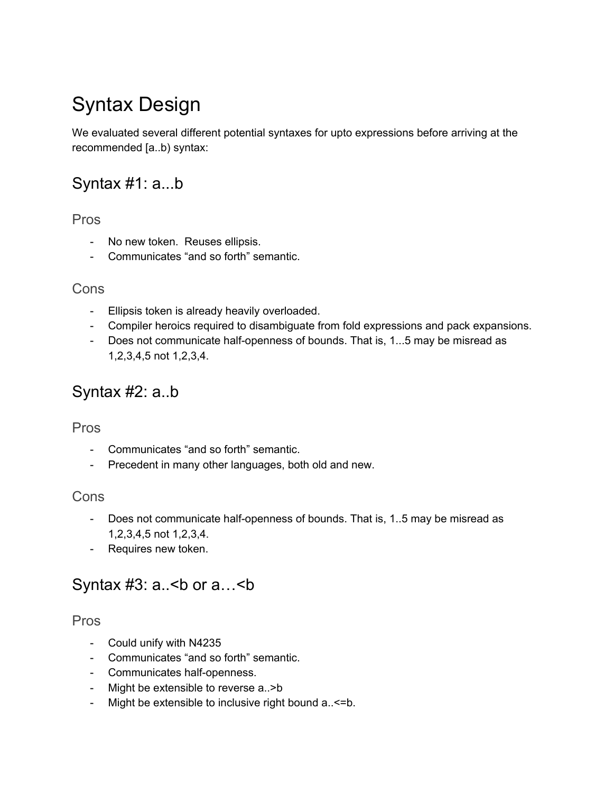## Syntax Design

We evaluated several different potential syntaxes for upto expressions before arriving at the recommended [a..b) syntax:

### Syntax #1: a...b

#### Pros

- No new token. Reuses ellipsis.
- Communicates "and so forth" semantic.

#### **Cons**

- Ellipsis token is already heavily overloaded.
- Compiler heroics required to disambiguate from fold expressions and pack expansions.
- Does not communicate half-openness of bounds. That is, 1...5 may be misread as 1,2,3,4,5 not 1,2,3,4.

### Syntax #2: a..b

#### Pros

- Communicates "and so forth" semantic.
- Precedent in many other languages, both old and new.

#### Cons

- Does not communicate half-openness of bounds. That is, 1..5 may be misread as 1,2,3,4,5 not 1,2,3,4.
- Requires new token.

### Syntax  $#3: a.$  < b or  $a. . .$  < b

#### Pros

- Could unify with N4235
- Communicates "and so forth" semantic.
- Communicates half-openness.
- Might be extensible to reverse a..>b
- Might be extensible to inclusive right bound a..<= b.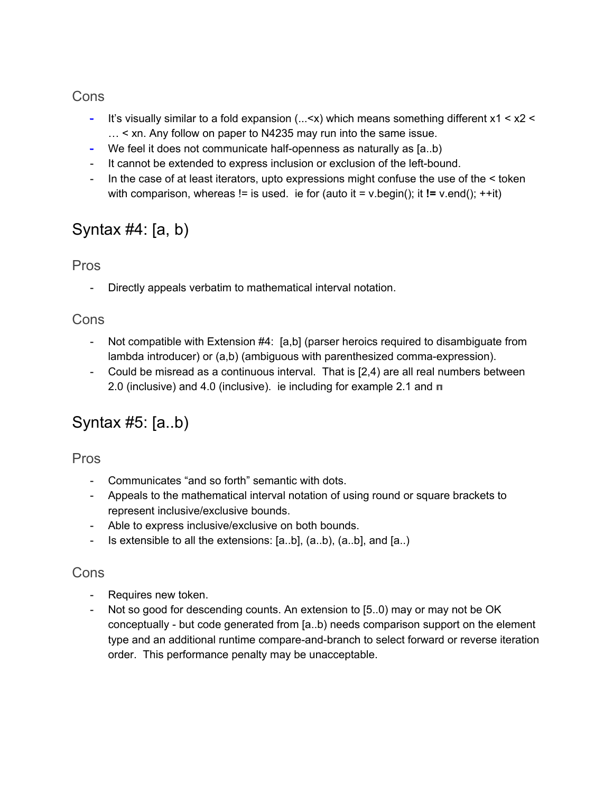#### **Cons**

- It's visually similar to a fold expansion  $(... which means something different  $x1 < x2 <$$ … < xn. Any follow on paper to N4235 may run into the same issue.
- We feel it does not communicate half-openness as naturally as  $[a..b)$
- It cannot be extended to express inclusion or exclusion of the left-bound.
- In the case of at least iterators, upto expressions might confuse the use of the  $\leq$  token with comparison, whereas != is used. ie for (auto it = v.begin(); it **!=** v.end(); ++it)

## Syntax #4: [a, b)

#### Pros

- Directly appeals verbatim to mathematical interval notation.

#### Cons

- Not compatible with Extension #4: [a,b] (parser heroics required to disambiguate from lambda introducer) or  $(a,b)$  (ambiguous with parenthesized comma-expression).
- Could be misread as a continuous interval. That is [2,4) are all real numbers between 2.0 (inclusive) and 4.0 (inclusive). ie including for example 2.1 and **π**

## Syntax #5: [a..b)

Pros

- Communicates "and so forth" semantic with dots.
- Appeals to the mathematical interval notation of using round or square brackets to represent inclusive/exclusive bounds.
- Able to express inclusive/exclusive on both bounds.
- $\blacksquare$  Is extensible to all the extensions: [a..b], (a..b), (a..b], and [a..)

#### Cons

- Requires new token.
- Not so good for descending counts. An extension to [5..0) may or may not be OK conceptually - but code generated from  $[a..b]$  needs comparison support on the element type and an additional runtime compare-and-branch to select forward or reverse iteration order. This performance penalty may be unacceptable.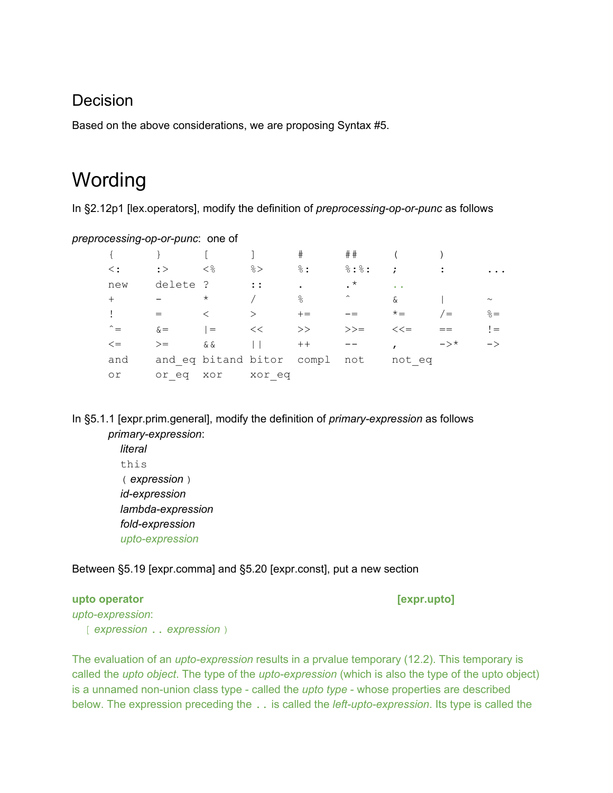#### Decision

Based on the above considerations, we are proposing Syntax #5.

## **Wording**

In §2.12p1 [lex.operators], modify the definition of *preprocessing-op-or-punc* as follows

*preprocessing-op-or-punc*: one of

|                 |            |         |                               | $_{\rm \#}$     | ##                  |           |                |                 |
|-----------------|------------|---------|-------------------------------|-----------------|---------------------|-----------|----------------|-----------------|
| $\langle \cdot$ | $:$ $>$    | <       | $\frac{6}{6}$                 | $\frac{8}{6}$ : | 8:8:                | $\cdot$ : | $\ddot{\cdot}$ |                 |
| new             | delete ?   |         | $\mathbf{1}$ :                | $\bullet$       | $\cdot$ *           | $\sim$    |                |                 |
| $+$             |            | $\star$ |                               | $\frac{6}{5}$   | $\hat{\phantom{a}}$ | $\delta$  |                | $\sim$          |
|                 |            |         | $\mathcal{E}$                 | $+=$            |                     | $x^* =$   | $\epsilon$     | $\frac{6}{6}$ = |
|                 | $\delta =$ | $=$     | <<                            | >>              | $>>=$               | $<<=$     |                | $=$             |
| $\lt =$         | $>=$       | & &     |                               | $++$            |                     |           | $-\rangle^*$   | $\rightarrow$   |
| and             |            |         | and eq bitand bitor compl not |                 |                     | not eq    |                |                 |
| or              | or eq      | xor     | xor eq                        |                 |                     |           |                |                 |

In §5.1.1 [expr.prim.general], modify the definition of *primaryexpression* as follows *primaryexpression*:

> *literal* this (*expression* ) *idexpression lambda-expression*  $fold$ -expression *upto-expression*

Between §5.19 [expr.comma] and §5.20 [expr.const], put a new section

#### **upto operator [expr.upto]**

upto-expression: [*expression* ..*expression* )

The evaluation of an *upto-expression* results in a prvalue temporary (12.2). This temporary is called the *upto object*. The type of the *upto-expression* (which is also the type of the upto object) is a unnamed non-union class type - called the *upto type* - whose properties are described below. The expression preceding the . . is called the *left-upto-expression*. Its type is called the